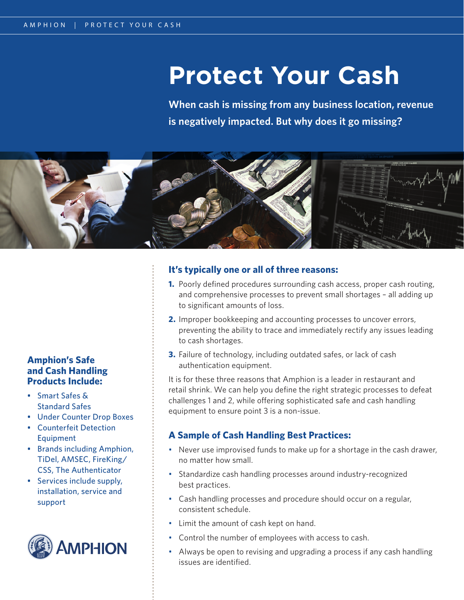# **Protect Your Cash**

**When cash is missing from any business location, revenue is negatively impacted. But why does it go missing?**



### **Amphion's Safe and Cash Handling Products Include:**

- Smart Safes & Standard Safes
- Under Counter Drop Boxes
- Counterfeit Detection Equipment
- Brands including Amphion, TiDel, AMSEC, FireKing/ CSS, The Authenticator
- Services include supply, installation, service and support



### **It's typically one or all of three reasons:**

- **1.** Poorly defined procedures surrounding cash access, proper cash routing, and comprehensive processes to prevent small shortages – all adding up to significant amounts of loss.
- **2.** Improper bookkeeping and accounting processes to uncover errors, preventing the ability to trace and immediately rectify any issues leading to cash shortages.
- **3.** Failure of technology, including outdated safes, or lack of cash authentication equipment.

It is for these three reasons that Amphion is a leader in restaurant and retail shrink. We can help you define the right strategic processes to defeat challenges 1 and 2, while offering sophisticated safe and cash handling equipment to ensure point 3 is a non-issue.

## **A Sample of Cash Handling Best Practices:**

- Never use improvised funds to make up for a shortage in the cash drawer, no matter how small.
- Standardize cash handling processes around industry-recognized best practices.
- Cash handling processes and procedure should occur on a regular, consistent schedule.
- Limit the amount of cash kept on hand.
- Control the number of employees with access to cash.
- Always be open to revising and upgrading a process if any cash handling issues are identified.